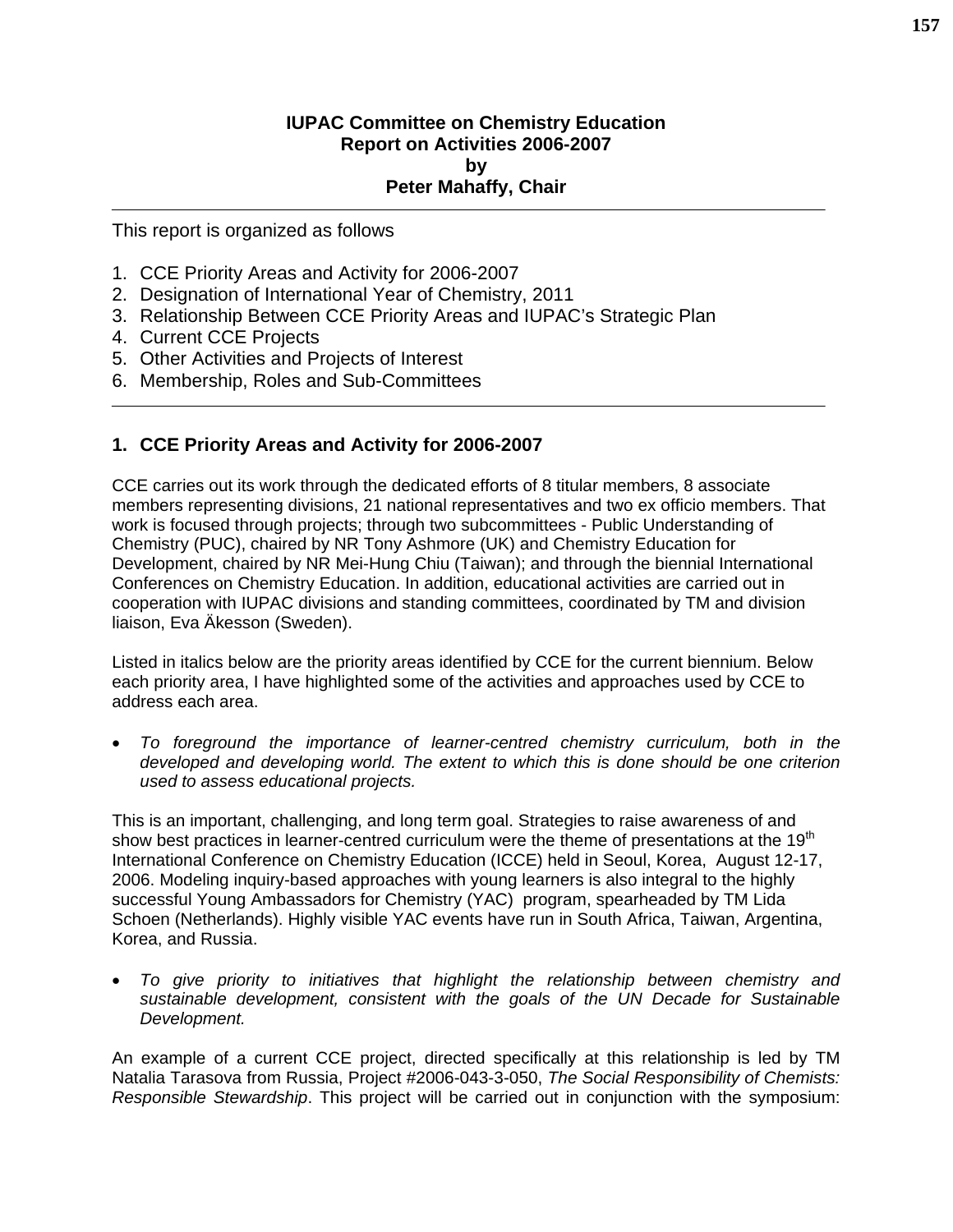#### **IUPAC Committee on Chemistry Education Report on Activities 2006-2007 by Peter Mahaffy, Chair**

This report is organized as follows

- 1. CCE Priority Areas and Activity for 2006-2007
- 2. Designation of International Year of Chemistry, 2011
- 3. Relationship Between CCE Priority Areas and IUPAC's Strategic Plan
- 4. Current CCE Projects
- 5. Other Activities and Projects of Interest
- 6. Membership, Roles and Sub-Committees

### **1. CCE Priority Areas and Activity for 2006-2007**

CCE carries out its work through the dedicated efforts of 8 titular members, 8 associate members representing divisions, 21 national representatives and two ex officio members. That work is focused through projects; through two subcommittees - Public Understanding of Chemistry (PUC), chaired by NR Tony Ashmore (UK) and Chemistry Education for Development, chaired by NR Mei-Hung Chiu (Taiwan); and through the biennial International Conferences on Chemistry Education. In addition, educational activities are carried out in cooperation with IUPAC divisions and standing committees, coordinated by TM and division liaison, Eva Äkesson (Sweden).

Listed in italics below are the priority areas identified by CCE for the current biennium. Below each priority area, I have highlighted some of the activities and approaches used by CCE to address each area.

• *To foreground the importance of learner-centred chemistry curriculum, both in the developed and developing world. The extent to which this is done should be one criterion used to assess educational projects.* 

This is an important, challenging, and long term goal. Strategies to raise awareness of and show best practices in learner-centred curriculum were the theme of presentations at the  $19<sup>th</sup>$ International Conference on Chemistry Education (ICCE) held in Seoul, Korea, August 12-17, 2006. Modeling inquiry-based approaches with young learners is also integral to the highly successful Young Ambassadors for Chemistry (YAC) program, spearheaded by TM Lida Schoen (Netherlands). Highly visible YAC events have run in South Africa, Taiwan, Argentina, Korea, and Russia.

• *To give priority to initiatives that highlight the relationship between chemistry and sustainable development, consistent with the goals of the UN Decade for Sustainable Development.* 

An example of a current CCE project, directed specifically at this relationship is led by TM Natalia Tarasova from Russia, Project #2006-043-3-050, *The Social Responsibility of Chemists: Responsible Stewardship*. This project will be carried out in conjunction with the symposium: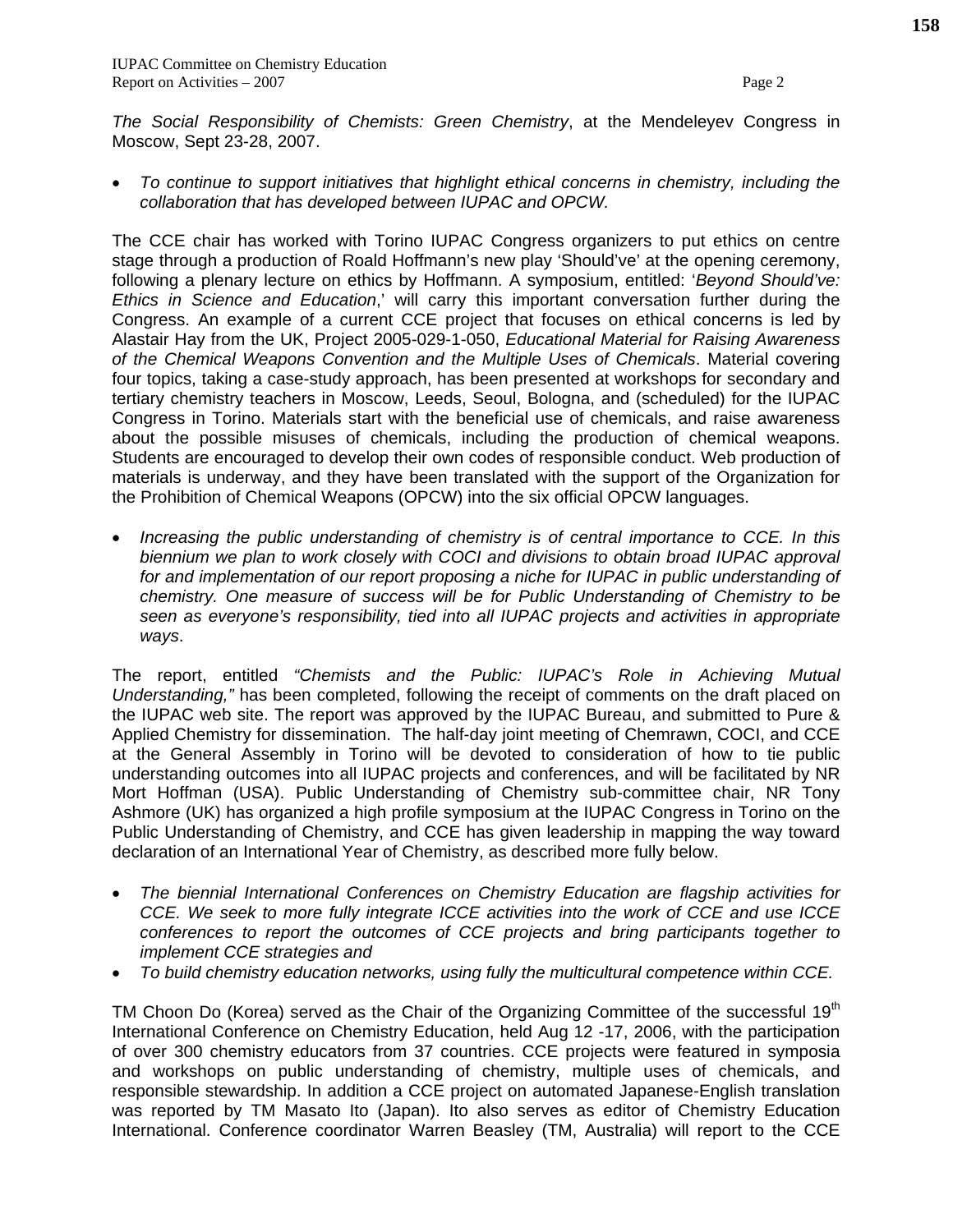*The Social Responsibility of Chemists: Green Chemistry*, at the Mendeleyev Congress in Moscow, Sept 23-28, 2007.

• *To continue to support initiatives that highlight ethical concerns in chemistry, including the collaboration that has developed between IUPAC and OPCW.* 

The CCE chair has worked with Torino IUPAC Congress organizers to put ethics on centre stage through a production of Roald Hoffmann's new play 'Should've' at the opening ceremony, following a plenary lecture on ethics by Hoffmann. A symposium, entitled: '*Beyond Should've: Ethics in Science and Education*,' will carry this important conversation further during the Congress. An example of a current CCE project that focuses on ethical concerns is led by Alastair Hay from the UK, Project 2005-029-1-050, *Educational Material for Raising Awareness of the Chemical Weapons Convention and the Multiple Uses of Chemicals*. Material covering four topics, taking a case-study approach, has been presented at workshops for secondary and tertiary chemistry teachers in Moscow, Leeds, Seoul, Bologna, and (scheduled) for the IUPAC Congress in Torino. Materials start with the beneficial use of chemicals, and raise awareness about the possible misuses of chemicals, including the production of chemical weapons. Students are encouraged to develop their own codes of responsible conduct. Web production of materials is underway, and they have been translated with the support of the Organization for the Prohibition of Chemical Weapons (OPCW) into the six official OPCW languages.

• *Increasing the public understanding of chemistry is of central importance to CCE. In this biennium we plan to work closely with COCI and divisions to obtain broad IUPAC approval*  for and implementation of our report proposing a niche for IUPAC in public understanding of *chemistry. One measure of success will be for Public Understanding of Chemistry to be seen as everyone's responsibility, tied into all IUPAC projects and activities in appropriate ways*.

The report, entitled *"Chemists and the Public: IUPAC's Role in Achieving Mutual Understanding,"* has been completed, following the receipt of comments on the draft placed on the IUPAC web site. The report was approved by the IUPAC Bureau, and submitted to Pure & Applied Chemistry for dissemination. The half-day joint meeting of Chemrawn, COCI, and CCE at the General Assembly in Torino will be devoted to consideration of how to tie public understanding outcomes into all IUPAC projects and conferences, and will be facilitated by NR Mort Hoffman (USA). Public Understanding of Chemistry sub-committee chair, NR Tony Ashmore (UK) has organized a high profile symposium at the IUPAC Congress in Torino on the Public Understanding of Chemistry, and CCE has given leadership in mapping the way toward declaration of an International Year of Chemistry, as described more fully below.

- *The biennial International Conferences on Chemistry Education are flagship activities for CCE. We seek to more fully integrate ICCE activities into the work of CCE and use ICCE conferences to report the outcomes of CCE projects and bring participants together to implement CCE strategies and*
- *To build chemistry education networks, using fully the multicultural competence within CCE.*

TM Choon Do (Korea) served as the Chair of the Organizing Committee of the successful 19<sup>th</sup> International Conference on Chemistry Education, held Aug 12 -17, 2006, with the participation of over 300 chemistry educators from 37 countries. CCE projects were featured in symposia and workshops on public understanding of chemistry, multiple uses of chemicals, and responsible stewardship. In addition a CCE project on automated Japanese-English translation was reported by TM Masato Ito (Japan). Ito also serves as editor of Chemistry Education International. Conference coordinator Warren Beasley (TM, Australia) will report to the CCE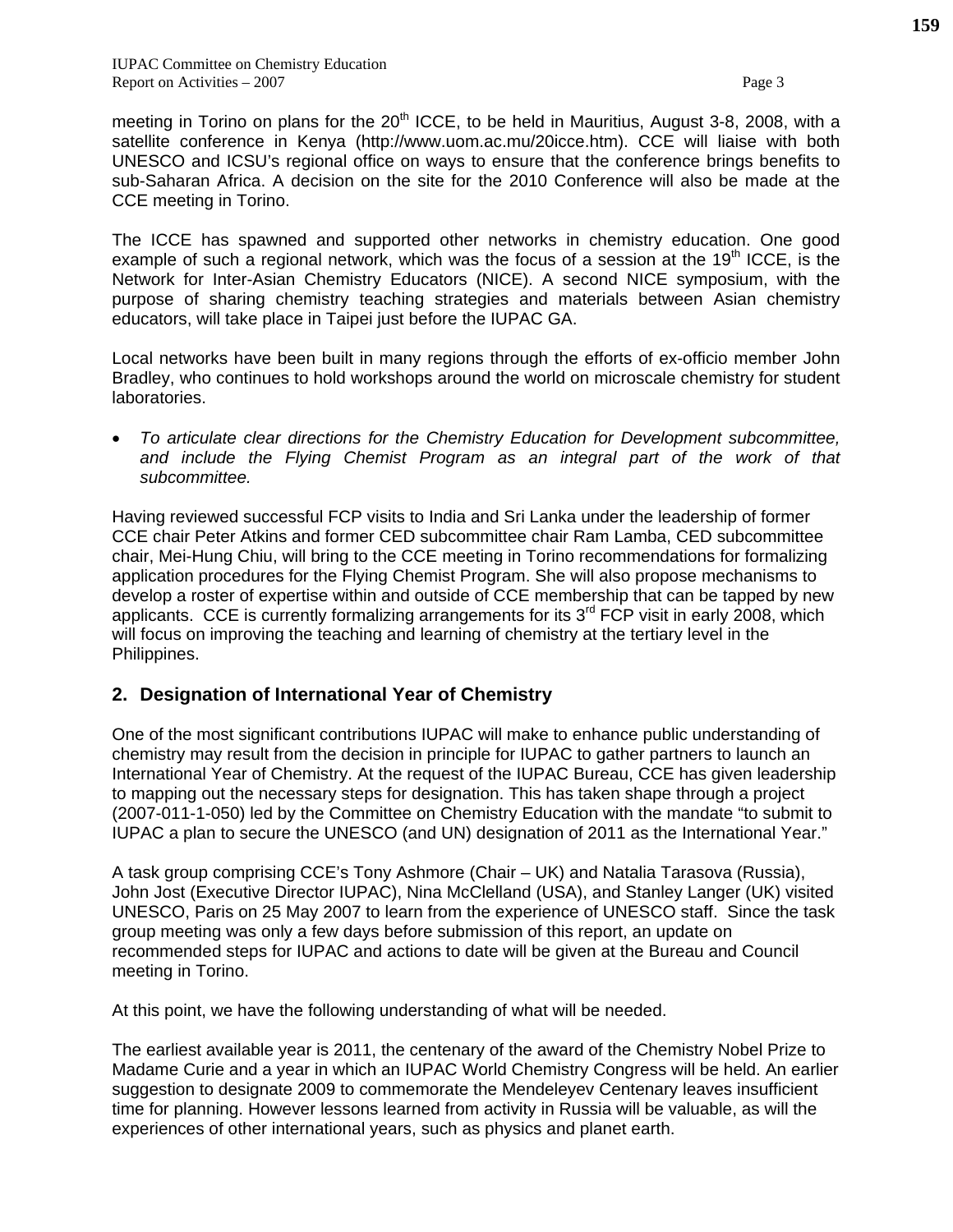meeting in Torino on plans for the  $20<sup>th</sup>$  ICCE, to be held in Mauritius, August 3-8, 2008, with a satellite conference in Kenya (http://www.uom.ac.mu/20icce.htm). CCE will liaise with both UNESCO and ICSU's regional office on ways to ensure that the conference brings benefits to sub-Saharan Africa. A decision on the site for the 2010 Conference will also be made at the CCE meeting in Torino.

The ICCE has spawned and supported other networks in chemistry education. One good example of such a regional network, which was the focus of a session at the  $19<sup>th</sup>$  ICCE, is the Network for Inter-Asian Chemistry Educators (NICE). A second NICE symposium, with the purpose of sharing chemistry teaching strategies and materials between Asian chemistry educators, will take place in Taipei just before the IUPAC GA.

Local networks have been built in many regions through the efforts of ex-officio member John Bradley, who continues to hold workshops around the world on microscale chemistry for student laboratories.

• *To articulate clear directions for the Chemistry Education for Development subcommittee,*  and include the Flying Chemist Program as an integral part of the work of that *subcommittee.* 

Having reviewed successful FCP visits to India and Sri Lanka under the leadership of former CCE chair Peter Atkins and former CED subcommittee chair Ram Lamba, CED subcommittee chair, Mei-Hung Chiu, will bring to the CCE meeting in Torino recommendations for formalizing application procedures for the Flying Chemist Program. She will also propose mechanisms to develop a roster of expertise within and outside of CCE membership that can be tapped by new applicants. CCE is currently formalizing arrangements for its  $3<sup>rd</sup>$  FCP visit in early 2008, which will focus on improving the teaching and learning of chemistry at the tertiary level in the Philippines.

#### **2. Designation of International Year of Chemistry**

One of the most significant contributions IUPAC will make to enhance public understanding of chemistry may result from the decision in principle for IUPAC to gather partners to launch an International Year of Chemistry. At the request of the IUPAC Bureau, CCE has given leadership to mapping out the necessary steps for designation. This has taken shape through a project (2007-011-1-050) led by the Committee on Chemistry Education with the mandate "to submit to IUPAC a plan to secure the UNESCO (and UN) designation of 2011 as the International Year."

A task group comprising CCE's Tony Ashmore (Chair – UK) and Natalia Tarasova (Russia), John Jost (Executive Director IUPAC), Nina McClelland (USA), and Stanley Langer (UK) visited UNESCO, Paris on 25 May 2007 to learn from the experience of UNESCO staff. Since the task group meeting was only a few days before submission of this report, an update on recommended steps for IUPAC and actions to date will be given at the Bureau and Council meeting in Torino.

At this point, we have the following understanding of what will be needed.

The earliest available year is 2011, the centenary of the award of the Chemistry Nobel Prize to Madame Curie and a year in which an IUPAC World Chemistry Congress will be held. An earlier suggestion to designate 2009 to commemorate the Mendeleyev Centenary leaves insufficient time for planning. However lessons learned from activity in Russia will be valuable, as will the experiences of other international years, such as physics and planet earth.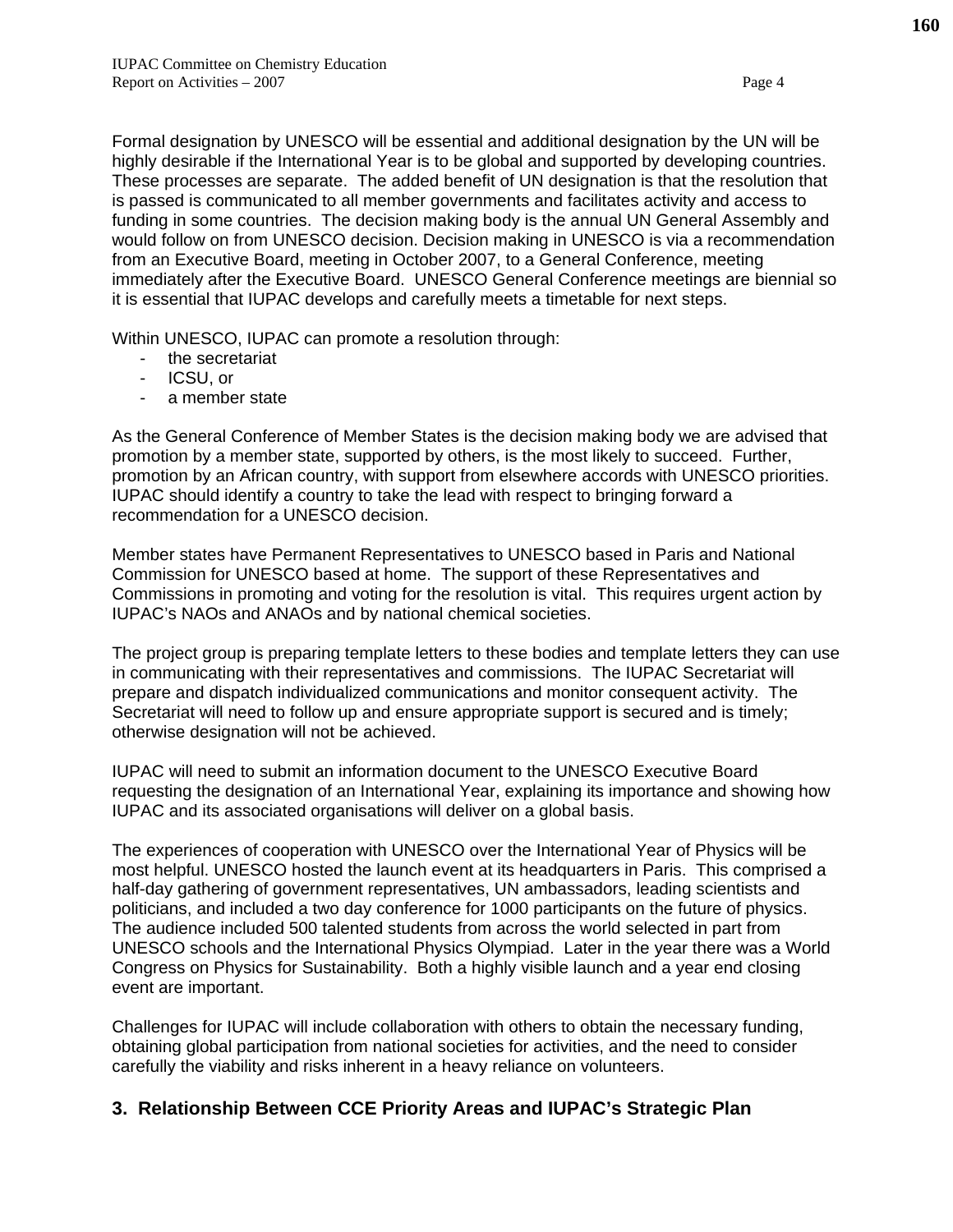Formal designation by UNESCO will be essential and additional designation by the UN will be highly desirable if the International Year is to be global and supported by developing countries. These processes are separate. The added benefit of UN designation is that the resolution that is passed is communicated to all member governments and facilitates activity and access to funding in some countries. The decision making body is the annual UN General Assembly and would follow on from UNESCO decision. Decision making in UNESCO is via a recommendation from an Executive Board, meeting in October 2007, to a General Conference, meeting immediately after the Executive Board. UNESCO General Conference meetings are biennial so it is essential that IUPAC develops and carefully meets a timetable for next steps.

Within UNESCO, IUPAC can promote a resolution through:

- the secretariat
- ICSU, or
- a member state

As the General Conference of Member States is the decision making body we are advised that promotion by a member state, supported by others, is the most likely to succeed. Further, promotion by an African country, with support from elsewhere accords with UNESCO priorities. IUPAC should identify a country to take the lead with respect to bringing forward a recommendation for a UNESCO decision.

Member states have Permanent Representatives to UNESCO based in Paris and National Commission for UNESCO based at home. The support of these Representatives and Commissions in promoting and voting for the resolution is vital. This requires urgent action by IUPAC's NAOs and ANAOs and by national chemical societies.

The project group is preparing template letters to these bodies and template letters they can use in communicating with their representatives and commissions. The IUPAC Secretariat will prepare and dispatch individualized communications and monitor consequent activity. The Secretariat will need to follow up and ensure appropriate support is secured and is timely; otherwise designation will not be achieved.

IUPAC will need to submit an information document to the UNESCO Executive Board requesting the designation of an International Year, explaining its importance and showing how IUPAC and its associated organisations will deliver on a global basis.

The experiences of cooperation with UNESCO over the International Year of Physics will be most helpful. UNESCO hosted the launch event at its headquarters in Paris. This comprised a half-day gathering of government representatives, UN ambassadors, leading scientists and politicians, and included a two day conference for 1000 participants on the future of physics. The audience included 500 talented students from across the world selected in part from UNESCO schools and the International Physics Olympiad. Later in the year there was a World Congress on Physics for Sustainability. Both a highly visible launch and a year end closing event are important.

Challenges for IUPAC will include collaboration with others to obtain the necessary funding, obtaining global participation from national societies for activities, and the need to consider carefully the viability and risks inherent in a heavy reliance on volunteers.

### **3. Relationship Between CCE Priority Areas and IUPAC's Strategic Plan**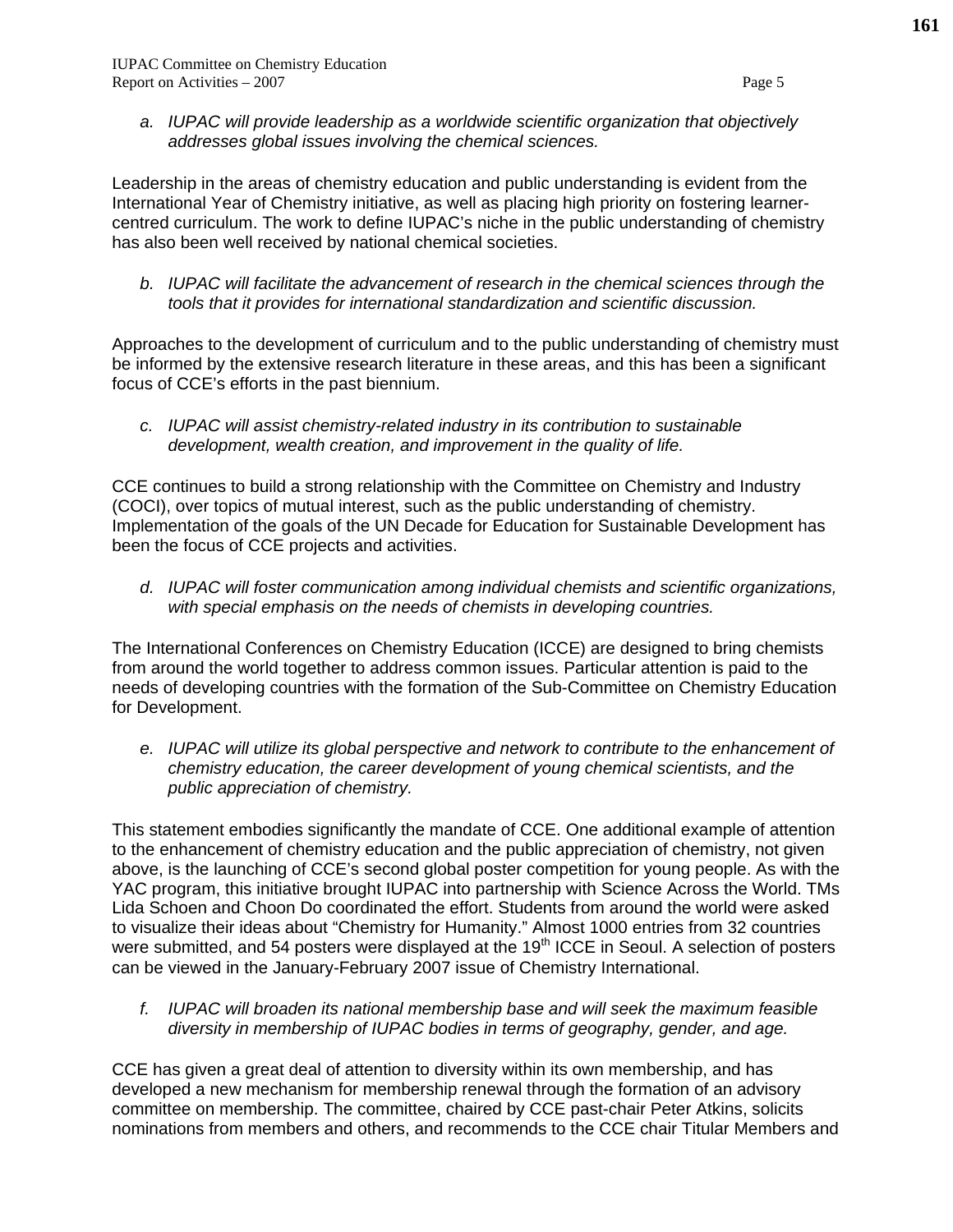*a. IUPAC will provide leadership as a worldwide scientific organization that objectively addresses global issues involving the chemical sciences.* 

Leadership in the areas of chemistry education and public understanding is evident from the International Year of Chemistry initiative, as well as placing high priority on fostering learnercentred curriculum. The work to define IUPAC's niche in the public understanding of chemistry has also been well received by national chemical societies.

*b. IUPAC will facilitate the advancement of research in the chemical sciences through the tools that it provides for international standardization and scientific discussion.* 

Approaches to the development of curriculum and to the public understanding of chemistry must be informed by the extensive research literature in these areas, and this has been a significant focus of CCE's efforts in the past biennium.

*c. IUPAC will assist chemistry-related industry in its contribution to sustainable development, wealth creation, and improvement in the quality of life.* 

CCE continues to build a strong relationship with the Committee on Chemistry and Industry (COCI), over topics of mutual interest, such as the public understanding of chemistry. Implementation of the goals of the UN Decade for Education for Sustainable Development has been the focus of CCE projects and activities.

*d. IUPAC will foster communication among individual chemists and scientific organizations, with special emphasis on the needs of chemists in developing countries.* 

The International Conferences on Chemistry Education (ICCE) are designed to bring chemists from around the world together to address common issues. Particular attention is paid to the needs of developing countries with the formation of the Sub-Committee on Chemistry Education for Development.

*e. IUPAC will utilize its global perspective and network to contribute to the enhancement of chemistry education, the career development of young chemical scientists, and the public appreciation of chemistry.* 

This statement embodies significantly the mandate of CCE. One additional example of attention to the enhancement of chemistry education and the public appreciation of chemistry, not given above, is the launching of CCE's second global poster competition for young people. As with the YAC program, this initiative brought IUPAC into partnership with Science Across the World. TMs Lida Schoen and Choon Do coordinated the effort. Students from around the world were asked to visualize their ideas about "Chemistry for Humanity." Almost 1000 entries from 32 countries were submitted, and 54 posters were displayed at the 19<sup>th</sup> ICCE in Seoul. A selection of posters can be viewed in the January-February 2007 issue of Chemistry International.

*f. IUPAC will broaden its national membership base and will seek the maximum feasible diversity in membership of IUPAC bodies in terms of geography, gender, and age.* 

CCE has given a great deal of attention to diversity within its own membership, and has developed a new mechanism for membership renewal through the formation of an advisory committee on membership. The committee, chaired by CCE past-chair Peter Atkins, solicits nominations from members and others, and recommends to the CCE chair Titular Members and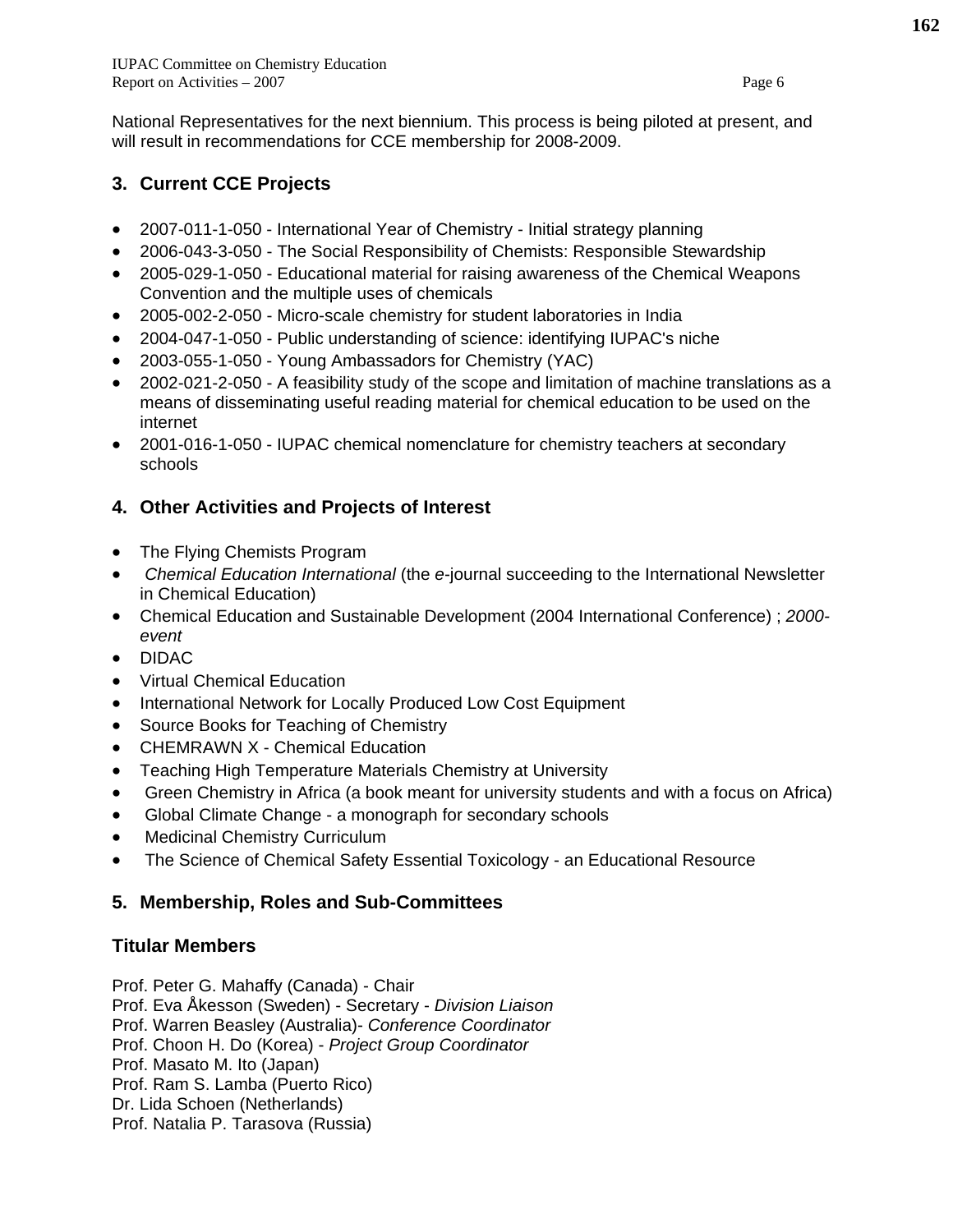National Representatives for the next biennium. This process is being piloted at present, and will result in recommendations for CCE membership for 2008-2009.

# **3. Current CCE Projects**

- 2007-011-1-050 International Year of Chemistry Initial strategy planning
- 2006-043-3-050 The Social Responsibility of Chemists: Responsible Stewardship
- 2005-029-1-050 Educational material for raising awareness of the Chemical Weapons Convention and the multiple uses of chemicals
- 2005-002-2-050 Micro-scale chemistry for student laboratories in India
- 2004-047-1-050 Public understanding of science: identifying IUPAC's niche
- 2003-055-1-050 Young Ambassadors for Chemistry (YAC)
- 2002-021-2-050 A feasibility study of the scope and limitation of machine translations as a means of disseminating useful reading material for chemical education to be used on the internet
- 2001-016-1-050 IUPAC chemical nomenclature for chemistry teachers at secondary schools

# **4. Other Activities and Projects of Interest**

- The Flying Chemists Program
- *Chemical Education International* (the *e*-journal succeeding to the International Newsletter in Chemical Education)
- Chemical Education and Sustainable Development (2004 International Conference) ; *2000 event*
- DIDAC
- Virtual Chemical Education
- International Network for Locally Produced Low Cost Equipment
- Source Books for Teaching of Chemistry
- CHEMRAWN X Chemical Education
- Teaching High Temperature Materials Chemistry at University
- Green Chemistry in Africa (a book meant for university students and with a focus on Africa)
- Global Climate Change a monograph for secondary schools
- Medicinal Chemistry Curriculum
- The Science of Chemical Safety Essential Toxicology an Educational Resource

# **5. Membership, Roles and Sub-Committees**

# **Titular Members**

Prof. Peter G. Mahaffy (Canada) - Chair

Prof. Eva Åkesson (Sweden) - Secretary - *Division Liaison* 

Prof. Warren Beasley (Australia)- *Conference Coordinator*

Prof. Choon H. Do (Korea) - *Project Group Coordinator* 

Prof. Masato M. Ito (Japan)

Prof. Ram S. Lamba (Puerto Rico)

Dr. Lida Schoen (Netherlands)

Prof. Natalia P. Tarasova (Russia)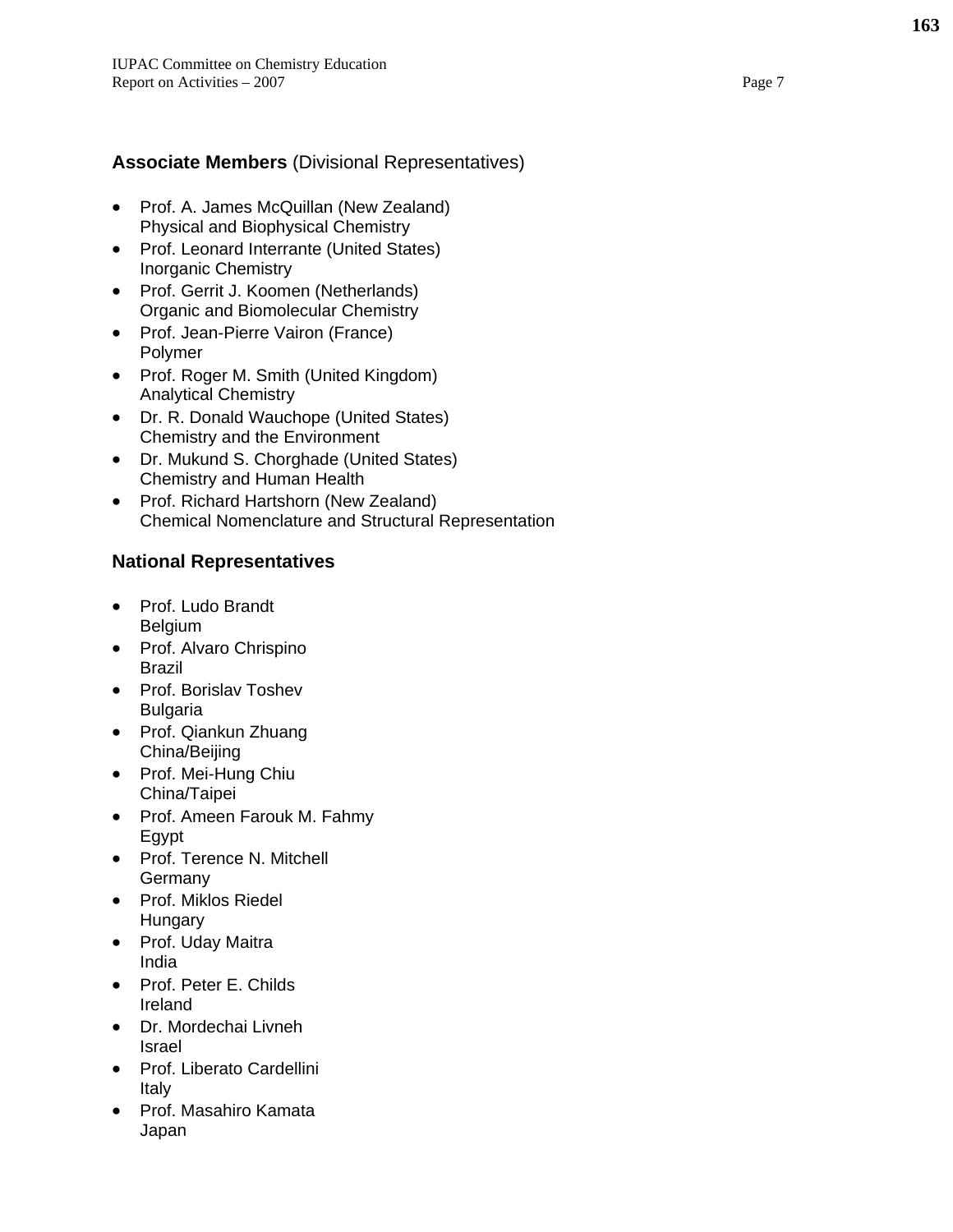## **Associate Members** (Divisional Representatives)

- Prof. A. James McQuillan (New Zealand) Physical and Biophysical Chemistry
- Prof. Leonard Interrante (United States) Inorganic Chemistry
- Prof. Gerrit J. Koomen (Netherlands) Organic and Biomolecular Chemistry
- Prof. Jean-Pierre Vairon (France) Polymer
- Prof. Roger M. Smith (United Kingdom) Analytical Chemistry
- Dr. R. Donald Wauchope (United States) Chemistry and the Environment
- Dr. Mukund S. Chorghade (United States) Chemistry and Human Health
- Prof. Richard Hartshorn (New Zealand) Chemical Nomenclature and Structural Representation

### **National Representatives**

- Prof. Ludo Brandt Belgium
- Prof. Alvaro Chrispino Brazil
- Prof. Borislav Toshev Bulgaria
- Prof. Qiankun Zhuang China/Beijing
- Prof. Mei-Hung Chiu China/Taipei
- Prof. Ameen Farouk M. Fahmy Egypt
- Prof. Terence N. Mitchell Germany
- Prof. Miklos Riedel **Hungary**
- Prof. Uday Maitra India
- Prof. Peter E. Childs Ireland
- Dr. Mordechai Livneh Israel
- Prof. Liberato Cardellini Italy
- Prof. Masahiro Kamata Japan